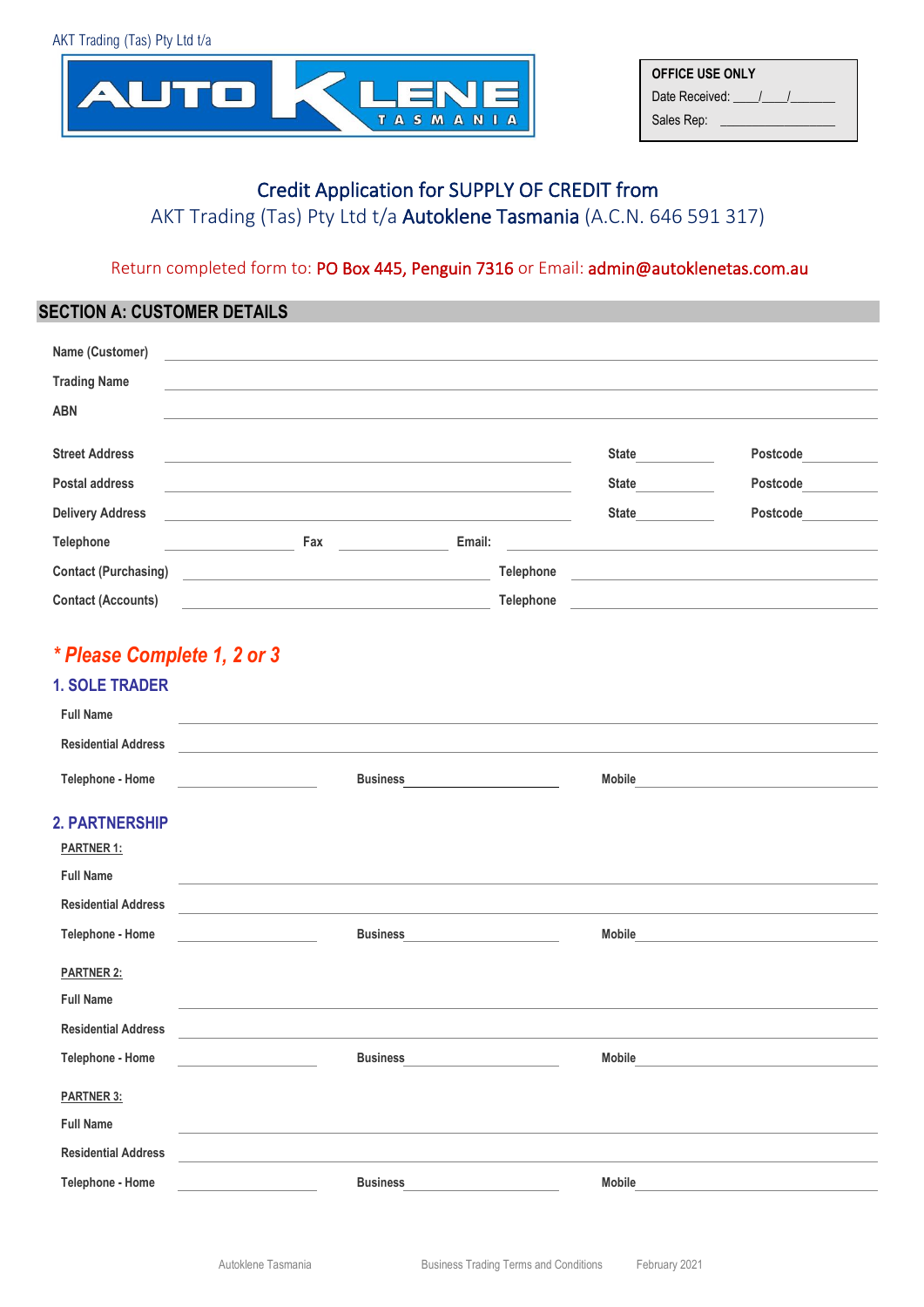

| <b>OFFICE USE ONLY</b> |  |  |
|------------------------|--|--|
| Date Received: /       |  |  |
| Sales Rep:             |  |  |

# Credit Application for SUPPLY OF CREDIT from

AKT Trading (Tas) Pty Ltd t/a Autoklene Tasmania (A.C.N. 646 591 317)

# Return completed form to: PO Box 445, Penguin 7316 or Email: admin@autoklenetas.com.au

# **SECTION A: CUSTOMER DETAILS**

| Name (Customer)             |                                                                                                                       |                                                     |           |                    |                                                                                                                  |
|-----------------------------|-----------------------------------------------------------------------------------------------------------------------|-----------------------------------------------------|-----------|--------------------|------------------------------------------------------------------------------------------------------------------|
| <b>Trading Name</b>         |                                                                                                                       |                                                     |           |                    |                                                                                                                  |
| <b>ABN</b>                  |                                                                                                                       |                                                     |           |                    |                                                                                                                  |
|                             |                                                                                                                       |                                                     |           |                    |                                                                                                                  |
| <b>Street Address</b>       |                                                                                                                       |                                                     |           |                    | Postcode                                                                                                         |
| Postal address              |                                                                                                                       |                                                     |           | <b>State State</b> | Postcode                                                                                                         |
| <b>Delivery Address</b>     |                                                                                                                       |                                                     |           | State              | Postcode                                                                                                         |
| Telephone                   | <b>Example 3</b>                                                                                                      |                                                     | Email:    |                    |                                                                                                                  |
| <b>Contact (Purchasing)</b> |                                                                                                                       |                                                     | Telephone |                    | and the control of the control of the control of the control of the control of the control of the control of the |
| <b>Contact (Accounts)</b>   |                                                                                                                       | <u> 1989 - Johann Barbara, martxa eta politikar</u> | Telephone |                    |                                                                                                                  |
|                             |                                                                                                                       |                                                     |           |                    |                                                                                                                  |
| * Please Complete 1, 2 or 3 |                                                                                                                       |                                                     |           |                    |                                                                                                                  |
| <b>1. SOLE TRADER</b>       |                                                                                                                       |                                                     |           |                    |                                                                                                                  |
| <b>Full Name</b>            |                                                                                                                       |                                                     |           |                    |                                                                                                                  |
| <b>Residential Address</b>  |                                                                                                                       |                                                     |           |                    |                                                                                                                  |
| Telephone - Home            |                                                                                                                       | <b>Business</b>                                     |           | Mobile             |                                                                                                                  |
|                             |                                                                                                                       |                                                     |           |                    |                                                                                                                  |
| <b>2. PARTNERSHIP</b>       |                                                                                                                       |                                                     |           |                    |                                                                                                                  |
| <b>PARTNER 1:</b>           |                                                                                                                       |                                                     |           |                    |                                                                                                                  |
| <b>Full Name</b>            |                                                                                                                       |                                                     |           |                    |                                                                                                                  |
| <b>Residential Address</b>  |                                                                                                                       |                                                     |           |                    |                                                                                                                  |
| Telephone - Home            |                                                                                                                       | <b>Business</b>                                     |           | Mobile             |                                                                                                                  |
| <b>PARTNER 2:</b>           |                                                                                                                       |                                                     |           |                    |                                                                                                                  |
| <b>Full Name</b>            |                                                                                                                       |                                                     |           |                    |                                                                                                                  |
| <b>Residential Address</b>  | <u> 1980 - Jan Stein Harry Stein Harry Stein Harry Stein Harry Stein Harry Stein Harry Stein Harry Stein Harry St</u> |                                                     |           |                    |                                                                                                                  |
| Telephone - Home            |                                                                                                                       | <b>Business</b>                                     |           | Mobile             |                                                                                                                  |
| PARTNER 3:                  |                                                                                                                       |                                                     |           |                    |                                                                                                                  |
| <b>Full Name</b>            |                                                                                                                       |                                                     |           |                    |                                                                                                                  |

**Telephone - Home Business Mobile**

**Residential Address**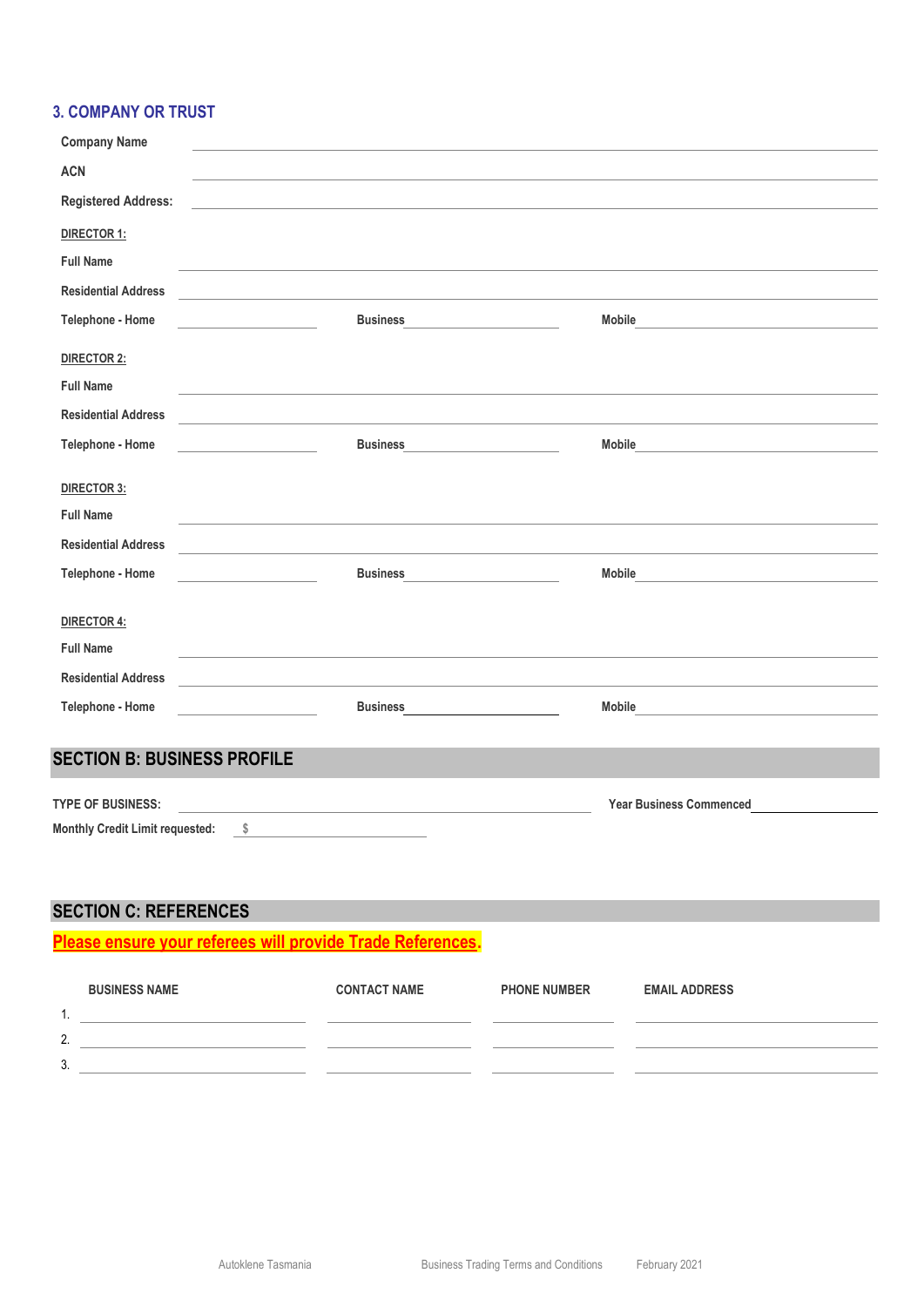# **3. COMPANY OR TRUST**

| <b>Company Name</b>                    |                                                                                                                                                                                                                               |                                                                                      |
|----------------------------------------|-------------------------------------------------------------------------------------------------------------------------------------------------------------------------------------------------------------------------------|--------------------------------------------------------------------------------------|
| <b>ACN</b>                             |                                                                                                                                                                                                                               |                                                                                      |
| <b>Registered Address:</b>             |                                                                                                                                                                                                                               |                                                                                      |
| DIRECTOR 1:                            |                                                                                                                                                                                                                               |                                                                                      |
| <b>Full Name</b>                       | and the control of the control of the control of the control of the control of the control of the control of the                                                                                                              |                                                                                      |
| <b>Residential Address</b>             |                                                                                                                                                                                                                               |                                                                                      |
| Telephone - Home                       | <b>Business</b>                                                                                                                                                                                                               |                                                                                      |
| <b>DIRECTOR 2:</b>                     |                                                                                                                                                                                                                               |                                                                                      |
| <b>Full Name</b>                       |                                                                                                                                                                                                                               |                                                                                      |
| <b>Residential Address</b>             | the contract of the contract of the contract of the contract of the contract of                                                                                                                                               |                                                                                      |
| Telephone - Home                       | <b>Business</b>                                                                                                                                                                                                               | Mobile                                                                               |
|                                        |                                                                                                                                                                                                                               |                                                                                      |
| <b>DIRECTOR 3:</b>                     |                                                                                                                                                                                                                               |                                                                                      |
| <b>Full Name</b>                       | the control of the control of the control of the control of the control of the control of the control of the control of the control of the control of the control of the control of the control of the control of the control |                                                                                      |
| <b>Residential Address</b>             |                                                                                                                                                                                                                               |                                                                                      |
| Telephone - Home                       | <b>Business</b><br><u>and the state of the state of the state</u>                                                                                                                                                             | Mobile<br>the control of the control of the control of the control of the control of |
| <b>DIRECTOR 4:</b>                     |                                                                                                                                                                                                                               |                                                                                      |
| <b>Full Name</b>                       | and the control of the control of the control of the control of the control of the control of the control of the                                                                                                              |                                                                                      |
| <b>Residential Address</b>             |                                                                                                                                                                                                                               |                                                                                      |
| Telephone - Home                       | <b>Business</b>                                                                                                                                                                                                               | Mobile<br>the control of the control of the control of the control of the control of |
|                                        |                                                                                                                                                                                                                               |                                                                                      |
| <b>SECTION B: BUSINESS PROFILE</b>     |                                                                                                                                                                                                                               |                                                                                      |
| <b>TYPE OF BUSINESS:</b>               |                                                                                                                                                                                                                               | <b>Year Business Commenced</b>                                                       |
| <b>Monthly Credit Limit requested:</b> | \$                                                                                                                                                                                                                            |                                                                                      |

# **SECTION C: REFERENCES**

**Please ensure your referees will provide Trade References.**

|          | <b>BUSINESS NAME</b> | <b>CONTACT NAME</b> | <b>PHONE NUMBER</b> | <b>EMAIL ADDRESS</b> |
|----------|----------------------|---------------------|---------------------|----------------------|
| . .      |                      |                     |                     |                      |
| ∩<br>Ζ.  |                      |                     |                     |                      |
| ર<br>ູບ. |                      |                     |                     |                      |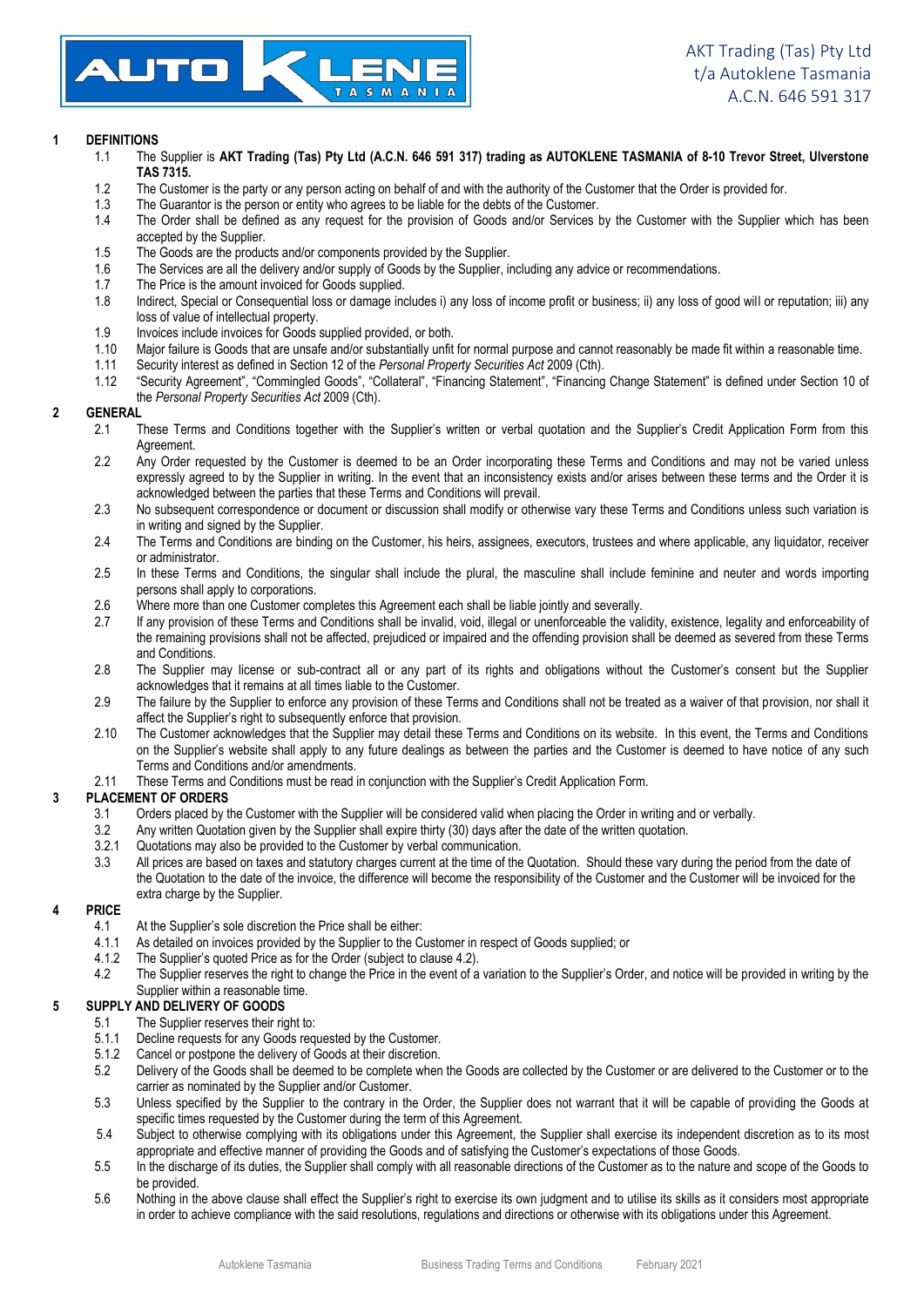

## **1 DEFINITIONS**

- 1.1 The Supplier is **AKT Trading (Tas) Pty Ltd (A.C.N. 646 591 317) trading as AUTOKLENE TASMANIA of 8-10 Trevor Street, Ulverstone TAS 7315.**
- 1.2 The Customer is the party or any person acting on behalf of and with the authority of the Customer that the Order is provided for.
- 1.3 The Guarantor is the person or entity who agrees to be liable for the debts of the Customer.
- 1.4 The Order shall be defined as any request for the provision of Goods and/or Services by the Customer with the Supplier which has been accepted by the Supplier.
- 1.5 The Goods are the products and/or components provided by the Supplier.
- 1.6 The Services are all the delivery and/or supply of Goods by the Supplier, including any advice or recommendations.
- 1.7 The Price is the amount invoiced for Goods supplied.
- 1.8 Indirect, Special or Consequential loss or damage includes i) any loss of income profit or business; ii) any loss of good will or reputation; iii) any loss of value of intellectual property.
- 1.9 Invoices include invoices for Goods supplied provided, or both.
- 1.10 Major failure is Goods that are unsafe and/or substantially unfit for normal purpose and cannot reasonably be made fit within a reasonable time.
- 1.11 Security interest as defined in Section 12 of the *Personal Property Securities Act* 2009 (Cth).
- 1.12 "Security Agreement", "Commingled Goods", "Collateral", "Financing Statement", "Financing Change Statement" is defined under Section 10 of the *Personal Property Securities Act* 2009 (Cth).

#### **2 GENERAL**

- 2.1 These Terms and Conditions together with the Supplier's written or verbal quotation and the Supplier's Credit Application Form from this Agreement.
- 2.2 Any Order requested by the Customer is deemed to be an Order incorporating these Terms and Conditions and may not be varied unless expressly agreed to by the Supplier in writing. In the event that an inconsistency exists and/or arises between these terms and the Order it is acknowledged between the parties that these Terms and Conditions will prevail.
- 2.3 No subsequent correspondence or document or discussion shall modify or otherwise vary these Terms and Conditions unless such variation is in writing and signed by the Supplier.
- 2.4 The Terms and Conditions are binding on the Customer, his heirs, assignees, executors, trustees and where applicable, any liquidator, receiver or administrator.
- 2.5 In these Terms and Conditions, the singular shall include the plural, the masculine shall include feminine and neuter and words importing persons shall apply to corporations.
- 2.6 Where more than one Customer completes this Agreement each shall be liable jointly and severally.
- 2.7 If any provision of these Terms and Conditions shall be invalid, void, illegal or unenforceable the validity, existence, legality and enforceability of the remaining provisions shall not be affected, prejudiced or impaired and the offending provision shall be deemed as severed from these Terms and Conditions.
- 2.8 The Supplier may license or sub-contract all or any part of its rights and obligations without the Customer's consent but the Supplier acknowledges that it remains at all times liable to the Customer.
- 2.9 The failure by the Supplier to enforce any provision of these Terms and Conditions shall not be treated as a waiver of that provision, nor shall it affect the Supplier's right to subsequently enforce that provision.
- 2.10 The Customer acknowledges that the Supplier may detail these Terms and Conditions on its website. In this event, the Terms and Conditions on the Supplier's website shall apply to any future dealings as between the parties and the Customer is deemed to have notice of any such Terms and Conditions and/or amendments.
- 2.11 These Terms and Conditions must be read in conjunction with the Supplier's Credit Application Form.

#### **3 PLACEMENT OF ORDERS**

- 3.1 Orders placed by the Customer with the Supplier will be considered valid when placing the Order in writing and or verbally.
- 3.2 Any written Quotation given by the Supplier shall expire thirty (30) days after the date of the written quotation.
- 3.2.1 Quotations may also be provided to the Customer by verbal communication.
- 3.3 All prices are based on taxes and statutory charges current at the time of the Quotation. Should these vary during the period from the date of the Quotation to the date of the invoice, the difference will become the responsibility of the Customer and the Customer will be invoiced for the extra charge by the Supplier.

# **4 PRICE**

- 
- 4.1 At the Supplier's sole discretion the Price shall be either:<br>4.1.1 As detailed on invoices provided by the Supplier to the C As detailed on invoices provided by the Supplier to the Customer in respect of Goods supplied; or
- 4.1.2 The Supplier's quoted Price as for the Order (subject to clause [4.2\)](#page-2-0).
- 4.2 The Supplier reserves the right to change the Price in the event of a variation to the Supplier's Order, and notice will be provided in writing by the Supplier within a reasonable time.

#### <span id="page-2-0"></span>**5 SUPPLY AND DELIVERY OF GOODS**

- 5.1 The Supplier reserves their right to:
- 5.1.1 Decline requests for any Goods requested by the Customer.
- 5.1.2 Cancel or postpone the delivery of Goods at their discretion.
- 5.2 Delivery of the Goods shall be deemed to be complete when the Goods are collected by the Customer or are delivered to the Customer or to the carrier as nominated by the Supplier and/or Customer.
- 5.3 Unless specified by the Supplier to the contrary in the Order, the Supplier does not warrant that it will be capable of providing the Goods at specific times requested by the Customer during the term of this Agreement.
- 5.4 Subject to otherwise complying with its obligations under this Agreement, the Supplier shall exercise its independent discretion as to its most appropriate and effective manner of providing the Goods and of satisfying the Customer's expectations of those Goods.
- 5.5 In the discharge of its duties, the Supplier shall comply with all reasonable directions of the Customer as to the nature and scope of the Goods to be provided.
- 5.6 Nothing in the above clause shall effect the Supplier's right to exercise its own judgment and to utilise its skills as it considers most appropriate in order to achieve compliance with the said resolutions, regulations and directions or otherwise with its obligations under this Agreement.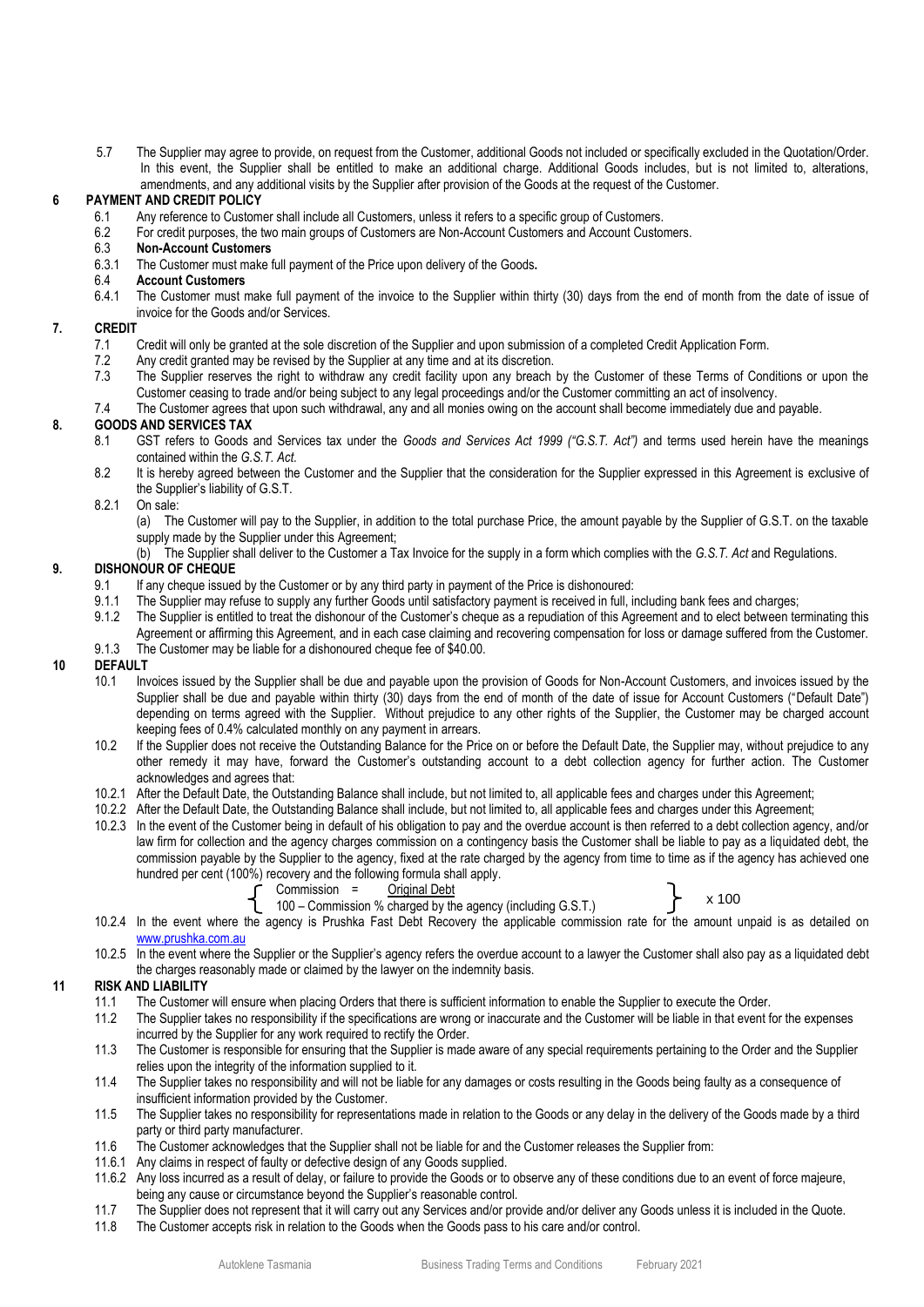5.7 The Supplier may agree to provide, on request from the Customer, additional Goods not included or specifically excluded in the Quotation/Order. In this event, the Supplier shall be entitled to make an additional charge. Additional Goods includes, but is not limited to, alterations, amendments, and any additional visits by the Supplier after provision of the Goods at the request of the Customer.

## **6 PAYMENT AND CREDIT POLICY**

- 6.1 Any reference to Customer shall include all Customers, unless it refers to a specific group of Customers.
- 6.2 For credit purposes, the two main groups of Customers are Non-Account Customers and Account Customers.
- 6.3 **Non-Account Customers**
- 6.3.1 The Customer must make full payment of the Price upon delivery of the Goods**.**
- 6.4 **Account Customers**
- The Customer must make full payment of the invoice to the Supplier within thirty (30) days from the end of month from the date of issue of invoice for the Goods and/or Services.

#### **7. CREDIT**

- 7.1 Credit will only be granted at the sole discretion of the Supplier and upon submission of a completed Credit Application Form.
- 7.2 Any credit granted may be revised by the Supplier at any time and at its discretion.
- 7.3 The Supplier reserves the right to withdraw any credit facility upon any breach by the Customer of these Terms of Conditions or upon the Customer ceasing to trade and/or being subject to any legal proceedings and/or the Customer committing an act of insolvency.
- 7.4 The Customer agrees that upon such withdrawal, any and all monies owing on the account shall become immediately due and payable.

## **8. GOODS AND SERVICES TAX**

- 8.1 GST refers to Goods and Services tax under the *Goods and Services Act 1999 ("G.S.T. Act")* and terms used herein have the meanings contained within the *G.S.T. Act*.
- 8.2 It is hereby agreed between the Customer and the Supplier that the consideration for the Supplier expressed in this Agreement is exclusive of the Supplier's liability of G.S.T.
- 8.2.1 On sale:

(a) The Customer will pay to the Supplier, in addition to the total purchase Price, the amount payable by the Supplier of G.S.T. on the taxable supply made by the Supplier under this Agreement;

(b) The Supplier shall deliver to the Customer a Tax Invoice for the supply in a form which complies with the *G.S.T. Act* and Regulations.

# **9. DISHONOUR OF CHEQUE**<br>9.1 If any cheque issue

- 9.1 If any cheque issued by the Customer or by any third party in payment of the Price is dishonoured:<br>9.1.1 The Supplier may refuse to supply any further Goods until satisfactory payment is received in full, in
- The Supplier may refuse to supply any further Goods until satisfactory payment is received in full, including bank fees and charges;
- 9.1.2 The Supplier is entitled to treat the dishonour of the Customer's cheque as a repudiation of this Agreement and to elect between terminating this Agreement or affirming this Agreement, and in each case claiming and recovering compensation for loss or damage suffered from the Customer.
- 9.1.3 The Customer may be liable for a dishonoured cheque fee of \$40.00.

#### **10 DEFAULT**

- 10.1 Invoices issued by the Supplier shall be due and payable upon the provision of Goods for Non-Account Customers, and invoices issued by the Supplier shall be due and payable within thirty (30) days from the end of month of the date of issue for Account Customers ("Default Date") depending on terms agreed with the Supplier. Without prejudice to any other rights of the Supplier, the Customer may be charged account keeping fees of 0.4% calculated monthly on any payment in arrears.
- 10.2 If the Supplier does not receive the Outstanding Balance for the Price on or before the Default Date, the Supplier may, without prejudice to any other remedy it may have, forward the Customer's outstanding account to a debt collection agency for further action. The Customer acknowledges and agrees that:
- 10.2.1 After the Default Date, the Outstanding Balance shall include, but not limited to, all applicable fees and charges under this Agreement;
- 10.2.2 After the Default Date, the Outstanding Balance shall include, but not limited to, all applicable fees and charges under this Agreement;
- 10.2.3 In the event of the Customer being in default of his obligation to pay and the overdue account is then referred to a debt collection agency, and/or law firm for collection and the agency charges commission on a contingency basis the Customer shall be liable to pay as a liquidated debt, the commission payable by the Supplier to the agency, fixed at the rate charged by the agency from time to time as if the agency has achieved one hundred per cent (100%) recovery and the following formula shall apply.<br>  $\int$  Commission = Original Debt

#### $Commission =$

100 – Commission % charged by the agency (including G.S.T.)

x 100

- 10.2.4 In the event where the agency is Prushka Fast Debt Recovery the applicable commission rate for the amount unpaid is as detailed on [www.prushka.com.au](http://www.prushka.com.au/)
- 10.2.5 In the event where the Supplier or the Supplier's agency refers the overdue account to a lawyer the Customer shall also pay as a liquidated debt the charges reasonably made or claimed by the lawyer on the indemnity basis.

#### **11 RISK AND LIABILITY**

- 11.1 The Customer will ensure when placing Orders that there is sufficient information to enable the Supplier to execute the Order.
- 11.2 The Supplier takes no responsibility if the specifications are wrong or inaccurate and the Customer will be liable in that event for the expenses incurred by the Supplier for any work required to rectify the Order.
- 11.3 The Customer is responsible for ensuring that the Supplier is made aware of any special requirements pertaining to the Order and the Supplier relies upon the integrity of the information supplied to it.
- 11.4 The Supplier takes no responsibility and will not be liable for any damages or costs resulting in the Goods being faulty as a consequence of insufficient information provided by the Customer.
- 11.5 The Supplier takes no responsibility for representations made in relation to the Goods or any delay in the delivery of the Goods made by a third party or third party manufacturer.
- 11.6 The Customer acknowledges that the Supplier shall not be liable for and the Customer releases the Supplier from:
- 11.6.1 Any claims in respect of faulty or defective design of any Goods supplied.
- 11.6.2 Any loss incurred as a result of delay, or failure to provide the Goods or to observe any of these conditions due to an event of force majeure, being any cause or circumstance beyond the Supplier's reasonable control.
- 11.7 The Supplier does not represent that it will carry out any Services and/or provide and/or deliver any Goods unless it is included in the Quote.
- 11.8 The Customer accepts risk in relation to the Goods when the Goods pass to his care and/or control.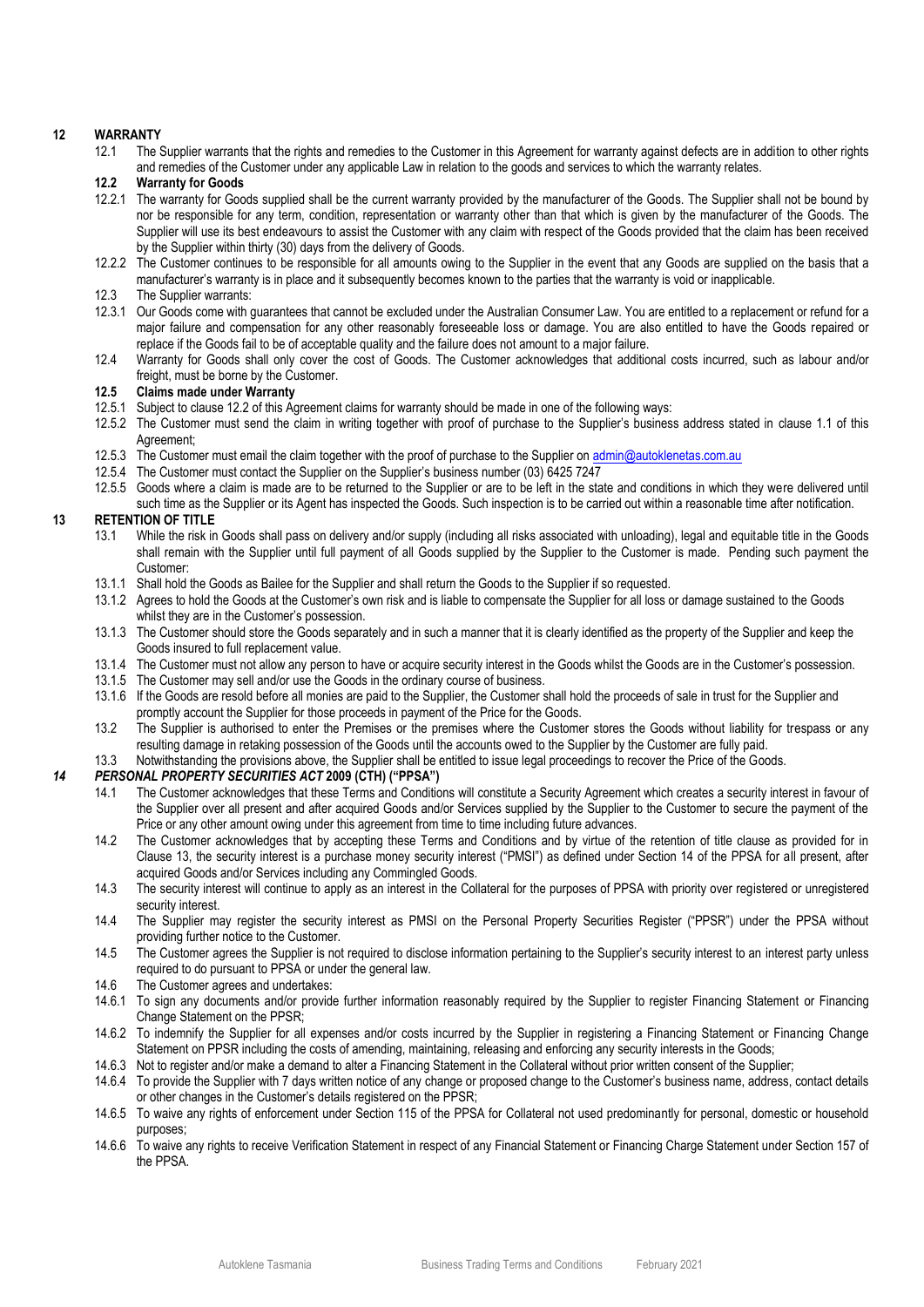## **12 WARRANTY**

12.1 The Supplier warrants that the rights and remedies to the Customer in this Agreement for warranty against defects are in addition to other rights and remedies of the Customer under any applicable Law in relation to the goods and services to which the warranty relates.

## **12.2 Warranty for Goods**

- 12.2.1 The warranty for Goods supplied shall be the current warranty provided by the manufacturer of the Goods. The Supplier shall not be bound by nor be responsible for any term, condition, representation or warranty other than that which is given by the manufacturer of the Goods. The Supplier will use its best endeavours to assist the Customer with any claim with respect of the Goods provided that the claim has been received by the Supplier within thirty (30) days from the delivery of Goods.
- 12.2.2 The Customer continues to be responsible for all amounts owing to the Supplier in the event that any Goods are supplied on the basis that a manufacturer's warranty is in place and it subsequently becomes known to the parties that the warranty is void or inapplicable.
- 12.3 The Supplier warrants:
- 12.3.1 Our Goods come with guarantees that cannot be excluded under the Australian Consumer Law. You are entitled to a replacement or refund for a major failure and compensation for any other reasonably foreseeable loss or damage. You are also entitled to have the Goods repaired or replace if the Goods fail to be of acceptable quality and the failure does not amount to a major failure.
- 12.4 Warranty for Goods shall only cover the cost of Goods. The Customer acknowledges that additional costs incurred, such as labour and/or freight, must be borne by the Customer.

#### **12.5 Claims made under Warranty**

- 12.5.1 Subject to clause 12.2 of this Agreement claims for warranty should be made in one of the following ways:
- 12.5.2 The Customer must send the claim in writing together with proof of purchase to the Supplier's business address stated in clause 1.1 of this Agreement;
- 12.5.3 The Customer must email the claim together with the proof of purchase to the Supplier on admin@autoklenetas.com.au
- 12.5.4 The Customer must contact the Supplier on the Supplier's business number (03) 6425 7247
- 12.5.5 Goods where a claim is made are to be returned to the Supplier or are to be left in the state and conditions in which they were delivered until such time as the Supplier or its Agent has inspected the Goods. Such inspection is to be carried out within a reasonable time after notification.

#### **13 RETENTION OF TITLE**

- 13.1 While the risk in Goods shall pass on delivery and/or supply (including all risks associated with unloading), legal and equitable title in the Goods shall remain with the Supplier until full payment of all Goods supplied by the Supplier to the Customer is made. Pending such payment the Customer:
- 13.1.1 Shall hold the Goods as Bailee for the Supplier and shall return the Goods to the Supplier if so requested.
- 13.1.2 Agrees to hold the Goods at the Customer's own risk and is liable to compensate the Supplier for all loss or damage sustained to the Goods whilst they are in the Customer's possession.
- 13.1.3 The Customer should store the Goods separately and in such a manner that it is clearly identified as the property of the Supplier and keep the Goods insured to full replacement value.
- 13.1.4 The Customer must not allow any person to have or acquire security interest in the Goods whilst the Goods are in the Customer's possession.
- 13.1.5 The Customer may sell and/or use the Goods in the ordinary course of business.
- 13.1.6 If the Goods are resold before all monies are paid to the Supplier, the Customer shall hold the proceeds of sale in trust for the Supplier and promptly account the Supplier for those proceeds in payment of the Price for the Goods.
- 13.2 The Supplier is authorised to enter the Premises or the premises where the Customer stores the Goods without liability for trespass or any resulting damage in retaking possession of the Goods until the accounts owed to the Supplier by the Customer are fully paid.
- 13.3 Notwithstanding the provisions above, the Supplier shall be entitled to issue legal proceedings to recover the Price of the Goods.

#### *14 PERSONAL PROPERTY SECURITIES ACT* **2009 (CTH) ("PPSA")**

- 14.1 The Customer acknowledges that these Terms and Conditions will constitute a Security Agreement which creates a security interest in favour of the Supplier over all present and after acquired Goods and/or Services supplied by the Supplier to the Customer to secure the payment of the Price or any other amount owing under this agreement from time to time including future advances.
- 14.2 The Customer acknowledges that by accepting these Terms and Conditions and by virtue of the retention of title clause as provided for in Clause 13, the security interest is a purchase money security interest ("PMSI") as defined under Section 14 of the PPSA for all present, after acquired Goods and/or Services including any Commingled Goods.
- 14.3 The security interest will continue to apply as an interest in the Collateral for the purposes of PPSA with priority over registered or unregistered security interest.
- 14.4 The Supplier may register the security interest as PMSI on the Personal Property Securities Register ("PPSR") under the PPSA without providing further notice to the Customer.
- 14.5 The Customer agrees the Supplier is not required to disclose information pertaining to the Supplier's security interest to an interest party unless required to do pursuant to PPSA or under the general law.
- 14.6 The Customer agrees and undertakes:
- 14.6.1 To sign any documents and/or provide further information reasonably required by the Supplier to register Financing Statement or Financing Change Statement on the PPSR;
- 14.6.2 To indemnify the Supplier for all expenses and/or costs incurred by the Supplier in registering a Financing Statement or Financing Change Statement on PPSR including the costs of amending, maintaining, releasing and enforcing any security interests in the Goods;
- 14.6.3 Not to register and/or make a demand to alter a Financing Statement in the Collateral without prior written consent of the Supplier;
- 14.6.4 To provide the Supplier with 7 days written notice of any change or proposed change to the Customer's business name, address, contact details or other changes in the Customer's details registered on the PPSR;
- 14.6.5 To waive any rights of enforcement under Section 115 of the PPSA for Collateral not used predominantly for personal, domestic or household purposes;
- 14.6.6 To waive any rights to receive Verification Statement in respect of any Financial Statement or Financing Charge Statement under Section 157 of the PPSA.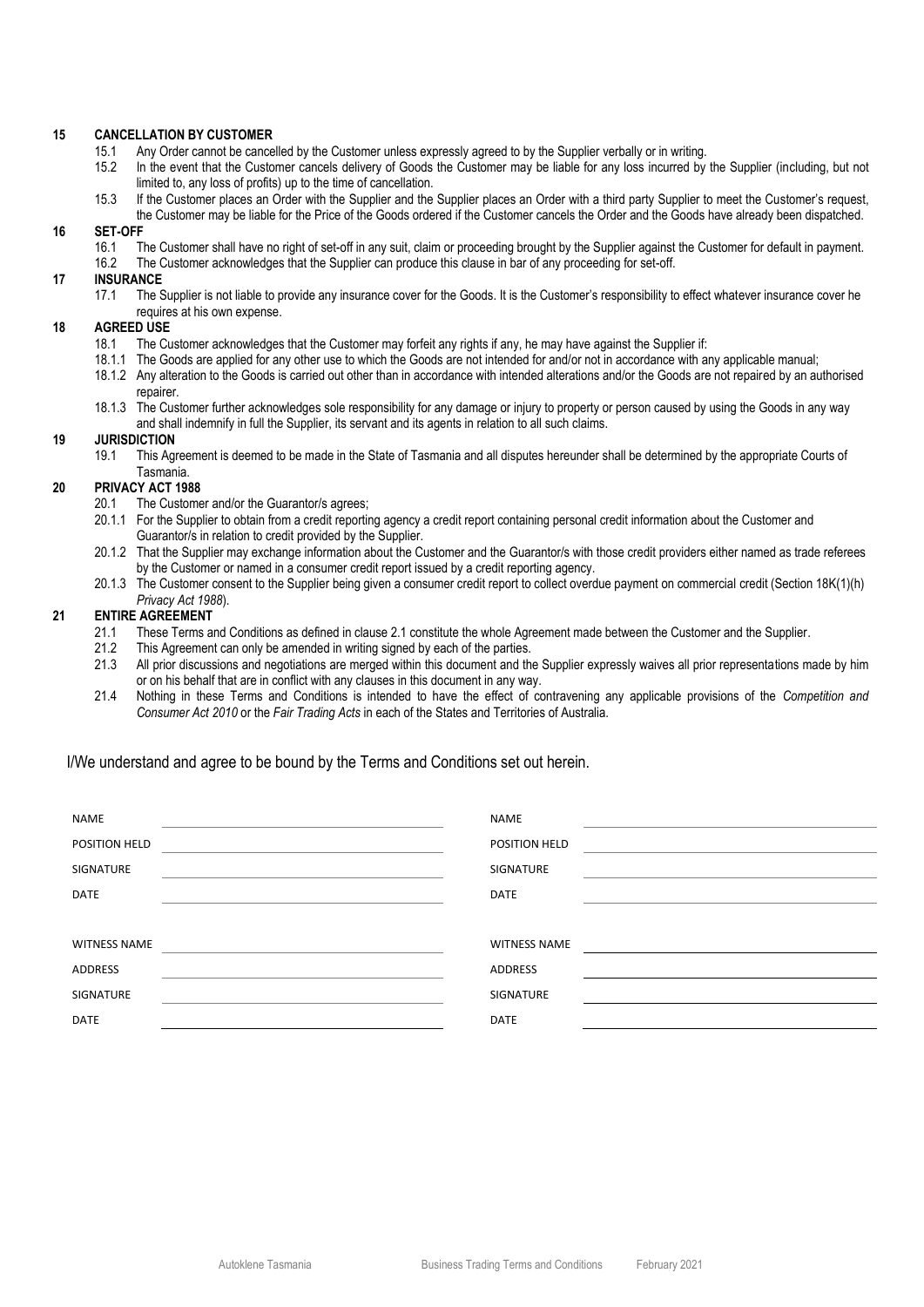#### **15 CANCELLATION BY CUSTOMER**

- 15.1 Any Order cannot be cancelled by the Customer unless expressly agreed to by the Supplier verbally or in writing.
- 15.2 In the event that the Customer cancels delivery of Goods the Customer may be liable for any loss incurred by the Supplier (including, but not limited to, any loss of profits) up to the time of cancellation.
- 15.3 If the Customer places an Order with the Supplier and the Supplier places an Order with a third party Supplier to meet the Customer's request, the Customer may be liable for the Price of the Goods ordered if the Customer cancels the Order and the Goods have already been dispatched.

## **16 SET-OFF**

- 16.1 The Customer shall have no right of set-off in any suit, claim or proceeding brought by the Supplier against the Customer for default in payment.
- 16.2 The Customer acknowledges that the Supplier can produce this clause in bar of any proceeding for set-off.

### **17 INSURANCE**

17.1 The Supplier is not liable to provide any insurance cover for the Goods. It is the Customer's responsibility to effect whatever insurance cover he requires at his own expense.

#### **18 AGREED USE**

- 18.1 The Customer acknowledges that the Customer may forfeit any rights if any, he may have against the Supplier if:
- 18.1.1 The Goods are applied for any other use to which the Goods are not intended for and/or not in accordance with any applicable manual;
- 18.1.2 Any alteration to the Goods is carried out other than in accordance with intended alterations and/or the Goods are not repaired by an authorised repairer.
- 18.1.3 The Customer further acknowledges sole responsibility for any damage or injury to property or person caused by using the Goods in any way and shall indemnify in full the Supplier, its servant and its agents in relation to all such claims.

#### **19 JURISDICTION**

19.1 This Agreement is deemed to be made in the State of Tasmania and all disputes hereunder shall be determined by the appropriate Courts of Tasmania.

## **20 PRIVACY ACT 1988**

- 20.1 The Customer and/or the Guarantor/s agrees;
- 20.1.1 For the Supplier to obtain from a credit reporting agency a credit report containing personal credit information about the Customer and Guarantor/s in relation to credit provided by the Supplier.
- 20.1.2 That the Supplier may exchange information about the Customer and the Guarantor/s with those credit providers either named as trade referees by the Customer or named in a consumer credit report issued by a credit reporting agency.
- 20.1.3 The Customer consent to the Supplier being given a consumer credit report to collect overdue payment on commercial credit (Section 18K(1)(h) *Privacy Act 1988*).

#### **21 ENTIRE AGREEMENT**

- 21.1 These Terms and Conditions as defined in clause 2.1 constitute the whole Agreement made between the Customer and the Supplier.
- 21.2 This Agreement can only be amended in writing signed by each of the parties.
- 21.3 All prior discussions and negotiations are merged within this document and the Supplier expressly waives all prior representations made by him or on his behalf that are in conflict with any clauses in this document in any way.
- 21.4 Nothing in these Terms and Conditions is intended to have the effect of contravening any applicable provisions of the *Competition and Consumer Act 2010* or the *Fair Trading Acts* in each of the States and Territories of Australia.

I/We understand and agree to be bound by the Terms and Conditions set out herein.

| <b>NAME</b>         | <b>NAME</b>         |
|---------------------|---------------------|
| POSITION HELD       | POSITION HELD       |
| SIGNATURE           | SIGNATURE           |
| <b>DATE</b>         | <b>DATE</b>         |
|                     |                     |
| <b>WITNESS NAME</b> | <b>WITNESS NAME</b> |
| ADDRESS             | <b>ADDRESS</b>      |
| <b>SIGNATURE</b>    | SIGNATURE           |
| <b>DATE</b>         | <b>DATE</b>         |
|                     |                     |